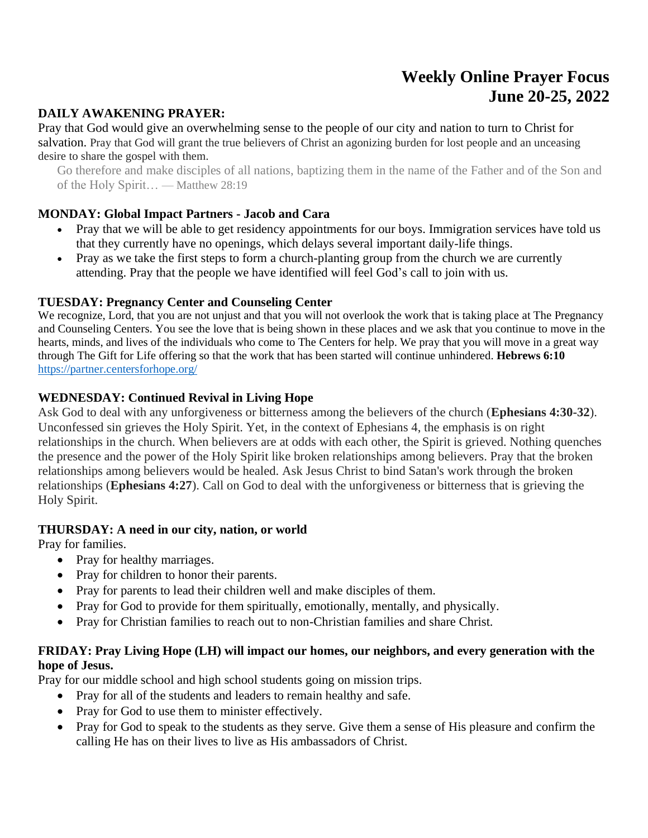# **Weekly Online Prayer Focus June 20-25, 2022**

# **DAILY AWAKENING PRAYER:**

Pray that God would give an overwhelming sense to the people of our city and nation to turn to Christ for salvation. Pray that God will grant the true believers of Christ an agonizing burden for lost people and an unceasing desire to share the gospel with them.

Go therefore and make disciples of all nations, baptizing them in the name of the Father and of the Son and of the Holy Spirit… — Matthew 28:19

## **MONDAY: Global Impact Partners - Jacob and Cara**

- Pray that we will be able to get residency appointments for our boys. Immigration services have told us that they currently have no openings, which delays several important daily-life things.
- Pray as we take the first steps to form a church-planting group from the church we are currently attending. Pray that the people we have identified will feel God's call to join with us.

#### **TUESDAY: Pregnancy Center and Counseling Center**

We recognize, Lord, that you are not unjust and that you will not overlook the work that is taking place at The Pregnancy and Counseling Centers. You see the love that is being shown in these places and we ask that you continue to move in the hearts, minds, and lives of the individuals who come to The Centers for help. We pray that you will move in a great way through The Gift for Life offering so that the work that has been started will continue unhindered. **Hebrews 6:10** <https://partner.centersforhope.org/>

#### **WEDNESDAY: Continued Revival in Living Hope**

Ask God to deal with any unforgiveness or bitterness among the believers of the church (**Ephesians 4:30-32**). Unconfessed sin grieves the Holy Spirit. Yet, in the context of Ephesians 4, the emphasis is on right relationships in the church. When believers are at odds with each other, the Spirit is grieved. Nothing quenches the presence and the power of the Holy Spirit like broken relationships among believers. Pray that the broken relationships among believers would be healed. Ask Jesus Christ to bind Satan's work through the broken relationships (**Ephesians 4:27**). Call on God to deal with the unforgiveness or bitterness that is grieving the Holy Spirit.

## **THURSDAY: A need in our city, nation, or world**

Pray for families.

- Pray for healthy marriages.
- Pray for children to honor their parents.
- Pray for parents to lead their children well and make disciples of them.
- Pray for God to provide for them spiritually, emotionally, mentally, and physically.
- Pray for Christian families to reach out to non-Christian families and share Christ.

## **FRIDAY: Pray Living Hope (LH) will impact our homes, our neighbors, and every generation with the hope of Jesus.**

Pray for our middle school and high school students going on mission trips.

- Pray for all of the students and leaders to remain healthy and safe.
- Pray for God to use them to minister effectively.
- Pray for God to speak to the students as they serve. Give them a sense of His pleasure and confirm the calling He has on their lives to live as His ambassadors of Christ.